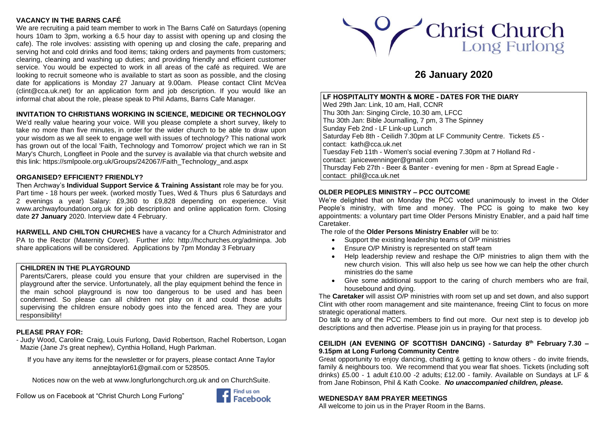# **VACANCY IN THE BARNS CAFÉ**

We are recruiting a paid team member to work in The Barns Café on Saturdays (opening hours 10am to 3pm, working a 6.5 hour day to assist with opening up and closing the cafe). The role involves: assisting with opening up and closing the cafe, preparing and serving hot and cold drinks and food items; taking orders and payments from customers; clearing, cleaning and washing up duties; and providing friendly and efficient customer service. You would be expected to work in all areas of the café as required. We are looking to recruit someone who is available to start as soon as possible, and the closing date for applications is Monday 27 January at 9.00am. Please contact Clint McVea [\(clint@cca.uk.net\)](mailto:clint@cca.uk.net) for an application form and job description. If you would like an informal chat about the role, please speak to Phil Adams, Barns Cafe Manager.

# **INVITATION TO CHRISTIANS WORKING IN SCIENCE, MEDICINE OR TECHNOLOGY**

We'd really value hearing your voice. Will you please complete a short survey, likely to take no more than five minutes, in order for the wider church to be able to draw upon your wisdom as we all seek to engage well with issues of technology? This national work has grown out of the local 'Faith, Technology and Tomorrow' project which we ran in St Mary's Church, Longfleet in Poole and the survey is available via that church website and this link[: https://smlpoole.org.uk/Groups/242067/Faith\\_Technology\\_and.aspx](https://smlpoole.org.uk/Groups/242067/Faith_Technology_and.aspx)

## **ORGANISED? EFFICIENT? FRIENDLY?**

Then Archway's **Individual Support Service & Training Assistant** role may be for you. Part time - 18 hours per week. (worked mostly Tues, Wed & Thurs plus 6 Saturdays and 2 evenings a year) Salary: £9,360 to £9,828 depending on experience. Visit [www.archwayfoundation.org.uk](http://www.archwayfoundation.org.uk/) for job description and online application form. Closing date **27 January** 2020. Interview date 4 February.

**HARWELL AND CHILTON CHURCHES** have a vacancy for a Church Administrator and PA to the Rector (Maternity Cover). Further info: [http://hcchurches.org/adminpa.](http://hcchurches.org/adminpa) Job share applications will be considered. Applications by 7pm Monday 3 February

## **CHILDREN IN THE PLAYGROUND**

Parents/Carers, please could you ensure that your children are supervised in the playground after the service. Unfortunately, all the play equipment behind the fence in the main school playground is now too dangerous to be used and has been condemned. So please can all children not play on it and could those adults supervising the children ensure nobody goes into the fenced area. They are your responsibility!

## **PLEASE PRAY FOR:**

- Judy Wood, Caroline Craig, Louis Furlong, David Robertson, Rachel Robertson, Logan Mazie (Jane J's great nephew), Cynthia Holland, Hugh Parkman.

If you have any items for the newsletter or for prayers, please contact Anne Taylor [annejbtaylor61@gmail.com](mailto:annejbtaylor61@gmail.com) or 528505.

Notices now on the web at [www.longfurlongchurch.org.uk](http://www.longfurlongchurch.org.uk/) and on ChurchSuite.

Follow us on Facebook at "Christ Church Long Furlong"





# **26 January 2020**

## **LF HOSPITALITY MONTH & MORE - DATES FOR THE DIARY**

Wed 29th Jan: Link, 10 am, Hall, CCNR Thu 30th Jan: Singing Circle, 10.30 am, LFCC Thu 30th Jan: Bible Journalling, 7 pm, 3 The Spinney Sunday Feb 2nd - LF Link-up Lunch Saturday Feb 8th - Ceilidh 7.30pm at LF Community Centre. Tickets £5 contact: [kath@cca.uk.net](mailto:kath@cca.uk.net) Tuesday Feb 11th - Women's social evening 7.30pm at 7 Holland Rd contact: [janicewenninger@gmail.com](mailto:janicewenninger@gmail.com) Thursday Feb 27th - Beer & Banter - evening for men - 8pm at Spread Eagle contact: [phil@cca.uk.net](mailto:phil@cca.uk.net)

## **OLDER PEOPLES MINISTRY – PCC OUTCOME**

We're delighted that on Monday the PCC voted unanimously to invest in the Older People's ministry, with time and money. The PCC is going to make two key appointments: a voluntary part time Older Persons Ministry Enabler, and a paid half time Caretaker.

The role of the **Older Persons Ministry Enabler** will be to:

- Support the existing leadership teams of O/P ministries
- Ensure O/P Ministry is represented on staff team
- Help leadership review and reshape the O/P ministries to align them with the new church vision. This will also help us see how we can help the other church ministries do the same
- Give some additional support to the caring of church members who are frail, housebound and dying.

The **Caretaker** will assist O/P ministries with room set up and set down, and also support Clint with other room management and site maintenance, freeing Clint to focus on more strategic operational matters.

Do talk to any of the PCC members to find out more. Our next step is to develop job descriptions and then advertise. Please join us in praying for that process.

### **CEILIDH (AN EVENING OF SCOTTISH DANCING) - Saturday 8th February 7.30 – 9.15pm at Long Furlong Community Centre**

Great opportunity to enjoy dancing, chatting & getting to know others - do invite friends, family & neighbours too.We recommend that you wear flat shoes. Tickets (including soft drinks) £5.00 - 1 adult £10.00 -2 adults; £12.00 - family. Available on Sundays at LF & from Jane Robinson, Phil & Kath Cooke. *No unaccompanied children, please.*

# **WEDNESDAY 8AM PRAYER MEETINGS**

All welcome to join us in the Prayer Room in the Barns.